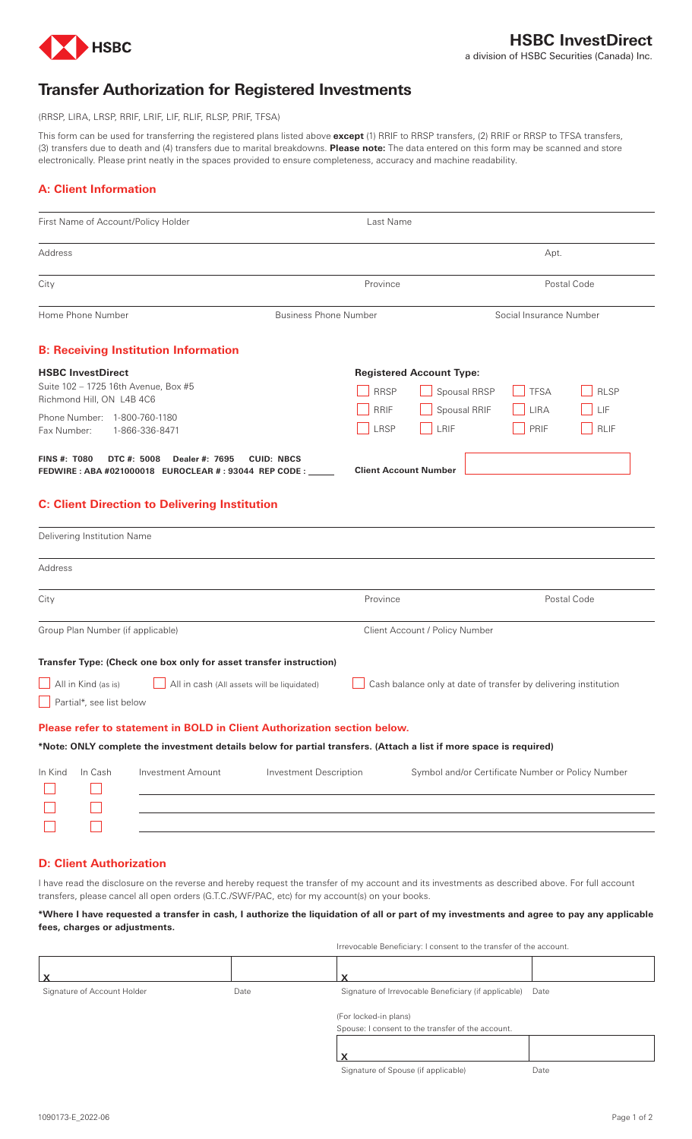

# **Transfer Authorization for Registered Investments**

(RRSP, LIRA, LRSP, RRIF, LRIF, LIF, RLIF, RLSP, PRIF, TFSA)

This form can be used for transferring the registered plans listed above **except** (1) RRIF to RRSP transfers, (2) RRIF or RRSP to TFSA transfers, (3) transfers due to death and (4) transfers due to marital breakdowns. **Please note:** The data entered on this form may be scanned and store electronically. Please print neatly in the spaces provided to ensure completeness, accuracy and machine readability.

# **A: Client Information**

| First Name of Account/Policy Holder                                                                                                                                                                                                                                                                                     | Last Name                                                             |                                                                                                          |
|-------------------------------------------------------------------------------------------------------------------------------------------------------------------------------------------------------------------------------------------------------------------------------------------------------------------------|-----------------------------------------------------------------------|----------------------------------------------------------------------------------------------------------|
| Address                                                                                                                                                                                                                                                                                                                 |                                                                       | Apt.                                                                                                     |
| City                                                                                                                                                                                                                                                                                                                    | Province                                                              | Postal Code                                                                                              |
| Home Phone Number                                                                                                                                                                                                                                                                                                       | <b>Business Phone Number</b>                                          | Social Insurance Number                                                                                  |
| <b>B: Receiving Institution Information</b>                                                                                                                                                                                                                                                                             |                                                                       |                                                                                                          |
| <b>HSBC InvestDirect</b><br>Suite 102 - 1725 16th Avenue, Box #5<br>Richmond Hill, ON L4B 4C6<br>Phone Number: 1-800-760-1180<br>1-866-336-8471<br>Fax Number:                                                                                                                                                          | <b>Registered Account Type:</b><br><b>RRSP</b><br><b>RRIF</b><br>LRSP | <b>RLSP</b><br>Spousal RRSP<br><b>TFSA</b><br>Spousal RRIF<br>LIRA<br>LIF<br>LRIF<br>PRIF<br><b>RLIF</b> |
| <b>FINS #: T080</b><br>DTC #: 5008<br>Dealer #: 7695<br>FEDWIRE : ABA #021000018 EUROCLEAR # : 93044 REP CODE : ___<br><b>C: Client Direction to Delivering Institution</b>                                                                                                                                             | <b>CUID: NBCS</b><br><b>Client Account Number</b>                     |                                                                                                          |
| Delivering Institution Name                                                                                                                                                                                                                                                                                             |                                                                       |                                                                                                          |
| Address                                                                                                                                                                                                                                                                                                                 |                                                                       |                                                                                                          |
| City                                                                                                                                                                                                                                                                                                                    | Province                                                              | Postal Code                                                                                              |
| Group Plan Number (if applicable)                                                                                                                                                                                                                                                                                       | Client Account / Policy Number                                        |                                                                                                          |
| Transfer Type: (Check one box only for asset transfer instruction)<br>All in Kind (as is)<br>Partial*, see list below<br>Please refer to statement in BOLD in Client Authorization section below.<br>*Note: ONLY complete the investment details below for partial transfers. (Attach a list if more space is required) | All in cash (All assets will be liquidated)                           | Cash balance only at date of transfer by delivering institution                                          |
| In Cash<br><b>Investment Amount</b><br>In Kind                                                                                                                                                                                                                                                                          | <b>Investment Description</b>                                         | Symbol and/or Certificate Number or Policy Number                                                        |

# **D: Client Authorization**

 $\Box$ 

 $\Box$ 

I have read the disclosure on the reverse and hereby request the transfer of my account and its investments as described above. For full account transfers, please cancel all open orders (G.T.C./SWF/PAC, etc) for my account(s) on your books.

# **\*Where I have requested a transfer in cash, I authorize the liquidation of all or part of my investments and agree to pay any applicable fees, charges or adjustments.**

|                             |      | Irrevocable Beneficiary: I consent to the transfer of the account. |  |
|-----------------------------|------|--------------------------------------------------------------------|--|
|                             |      |                                                                    |  |
| Signature of Account Holder | Date | Signature of Irrevocable Beneficiary (if applicable)<br>Date       |  |
|                             |      | (For locked-in plans)                                              |  |
|                             |      | Spouse: I consent to the transfer of the account.                  |  |
|                             |      |                                                                    |  |
|                             |      |                                                                    |  |
|                             |      | Signature of Spouse (if applicable)<br>Date                        |  |